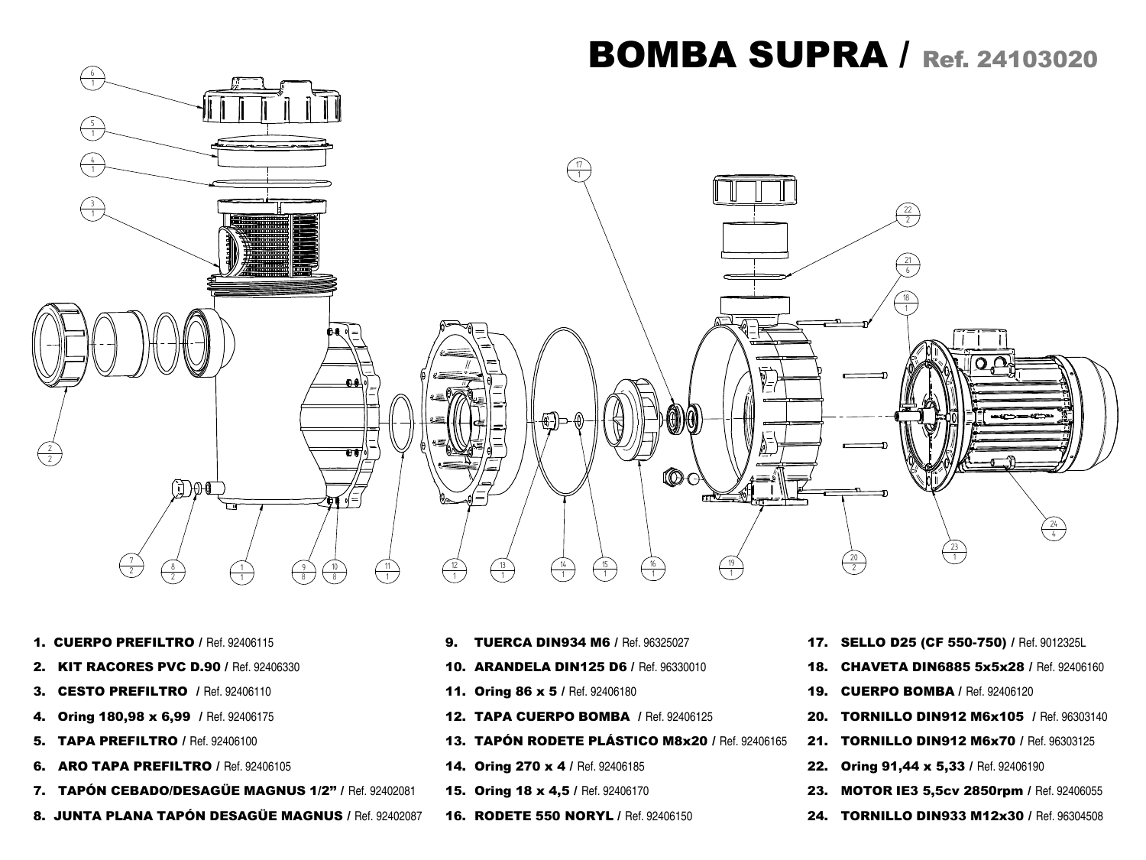

- 1. CUERPO PREFILTRO / Ref. 92406115
- 2. KIT RACORES PVC D.90 / Ref. 92406330
- **3. CESTO PREFILTRO** / Ref. 92406110
- 4. Oring 180,98 x 6,99 / Ref. 92406175
- **5. TAPA PREFILTRO / Ref. 92406100**
- 6. ARO TAPA PREFILTRO / Ref. 92406105
- 7. TAPÓN CEBADO/DESAGÜE MAGNUS 1/2'' / Ref. 92402081
- 8. JUNTA PLANA TAPÓN DESAGÜE MAGNUS / Ref. 92402087
- **9. TUERCA DIN934 M6 / Ref. 96325027**
- 10. ARANDELA DIN125 D6 / Ref. 96330010
- 11. Oring 86 x 5 / Ref. 92406180
- 12. TAPA CUERPO BOMBA / Ref. 92406125
- 13. TAPÓN RODETE PLÁSTICO M8x20 / Ref. 92406165
- 14. Oring 270 x 4 / Ref. 92406185
- 15. Oring 18 x 4,5 / Ref. 92406170
- 16. RODETE 550 NORYL / Ref. 92406150
- 17. SELLO D25 (CF 550-750) / Ref. 9012325L
- 18. CHAVETA DIN6885 5x5x28 / Ref. 92406160
- 19. CUERPO BOMBA / Ref. 92406120
- 20. TORNILLO DIN912 M6x105 / Ref. 96303140
- 21. TORNILLO DIN912 M6x70 / Ref. 96303125
- 22. Oring 91,44 x 5,33 / Ref. 92406190
- 23. MOTOR IE3 5,5cv 2850rpm / Ref. 92406055
- 24. TORNILLO DIN933 M12x30 / Ref. 96304508